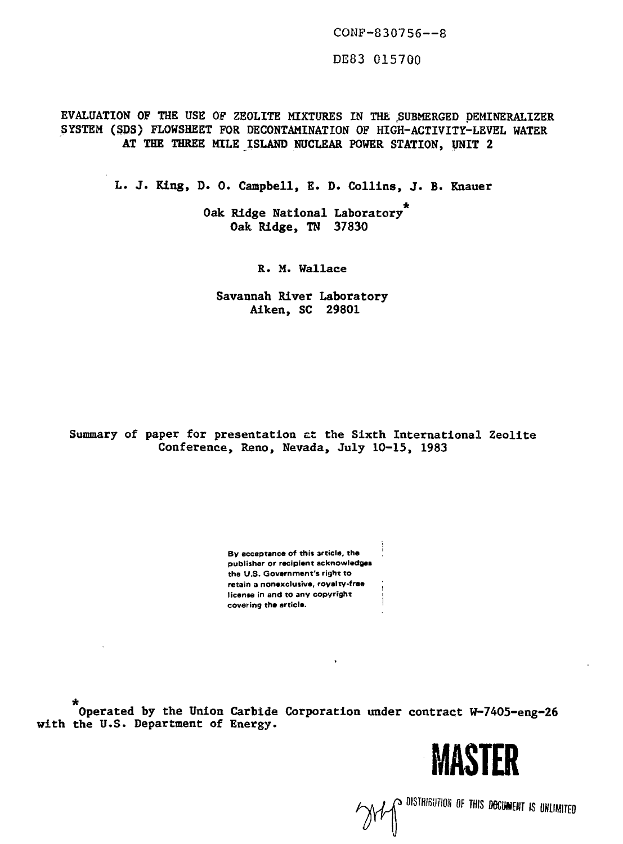CONF-S30756—8

DE83 015700

EVALUATION OF THE USE OF ZEOLITE MIXTURES IN THE .SUBMERGED DEMINERALIZER SYSTEM (SOS) FLOWSHEET FOR DECONTAMINATION OF HIGH-ACTIVITY-LEVEL WATER AT THE THREE MILE ISLAND NUCLEAR POWER STATION, UNIT 2

L. J. King, D. 0. Campbell, E. D. Collins, J. B. Knauer

Oak Ridge National Laboratory<sup>7</sup> Oak Ridge, TN 37830

R. M. Wallace

Savannah River Laboratory Alken, SC 29801

## Summary of paper for presentation et the Sixth International Zeolite Conference, Reno, Nevada, July 10-15, 1983

**By acceptance of this article, the publisher or recipient acknowledges the U.S. Government's right to retain a nonexclusive, royalty-free license in and to any copyright covering the article.**

Operated by the Union Carbide Corporation under contract W-7405-eng-26 with the U.S. Department of Energy.



**JYI (CONSTRIBUTION OF THIS DOCUMENT IS UNLIMITED)**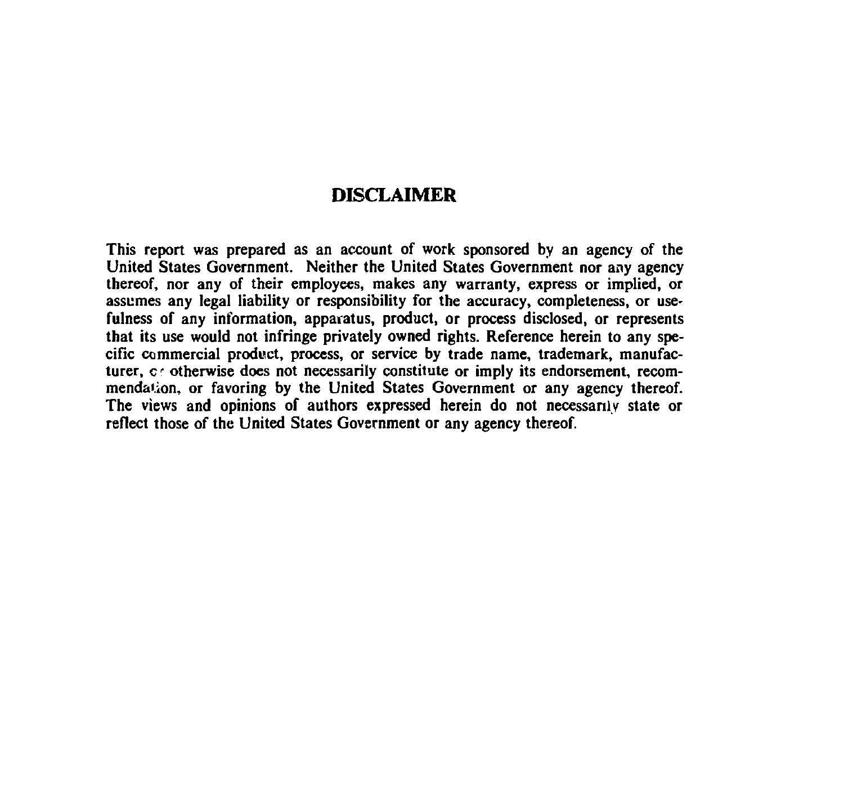## **DISCLAIMER**

**This report was prepared as an account of work sponsored by an agency of the United States Government. Neither the United States Government nor any agency thereof, nor any of their employees, makes any warranty, express or implied, or assumes any legal liability or responsibility for the accuracy, completeness, or usefulness of any information, apparatus, product, or process disclosed, or represents that its use would not infringe privately owned rights. Reference herein to any specific commercial product, process, or service by trade name, trademark, manufac**turer, c otherwise does not necessarily constitute or imply its endorsement, recom**mendaiion, or favoring by the United States Government or any agency thereof. The views and opinions of authors expressed herein do not necessarily state or reflect those of the United States Government or any agency thereof.**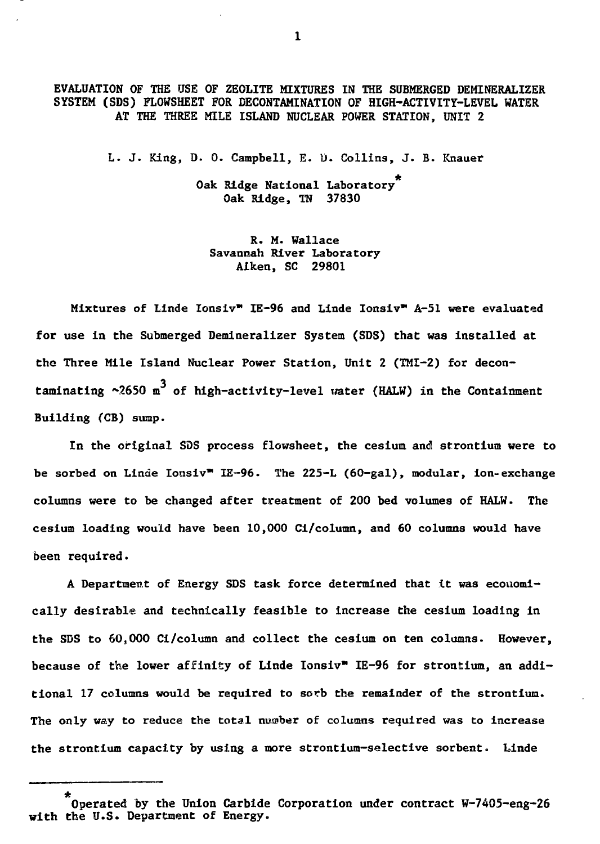**EVALUATION OF THE USE OF ZEOLITE MIXTURES IN THE SUBMERGED DEMINERALIZER SYSTEM (SDS) FLOWSHEET FOR DECONTAMINATION OF HIGH-ACTIVITY-LEVEL WATER AT THE THREE MILE ISLAND NUCLEAR POWER STATION, UNIT 2**

**L. J. King, D. 0. Campbell, E. D- Collins, J. B. Knauer**

**Oak Ridge National Laboratory Oak Ridge, TN 37830** 

**R. M. Wallace Savannah River Laboratory Aiken, SC 29801**

**Mixtures of Linde Ionsiv" IE-96 and Linde Ionsiv" A-51 were evaluated for use in the Submerged Demineralizer System (SDS) that was installed at the Three Mile Island Nuclear Power Station, Unit 2 (TMI-2) for decon**taminating ~2650 m<sup>3</sup> of high-activity-level water (HALW) in the Containment **Building (CB) sump.**

**In the original SDS process flowsheet, the cesium and strontium were to be sorbed on Linde Ionsiv" IE-96. The 225-L (60-gal), modular, ion-exchange columns were to be changed after treatment of 200 bed volumes of HALW. The cesium loading would have been 10,000 Ci/column, and 60 columns would have been required.**

**A Department of Energy SDS task force determined that it was economically desirable and technically feasible to increase the cesium loading in the SDS to 60,000 Ci/column and collect the cesium on ten columns. However, because of the lower affinity of Linde Ionsiv" IE-96 for strontium, an additional 17 columns would be required to sorb the remainder of the strontium. The only way to reduce the total number of columns required was to increase the strontium capacity by using a more strontium-selective sorbent. Linde**

**Operated by the Union Carbide Corporation under contract W-7405-eng-26 with the U.S. Department of Energy.**